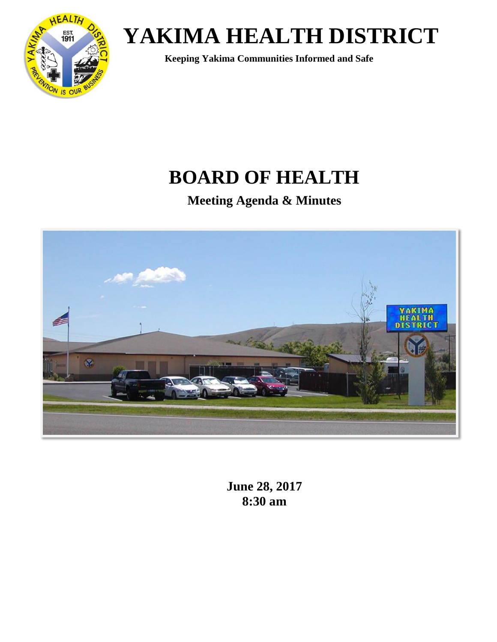

 **Keeping Yakima Communities Informed and Safe**

## **BOARD OF HEALTH**

**Meeting Agenda & Minutes**



**June 28, 2017 8:30 am**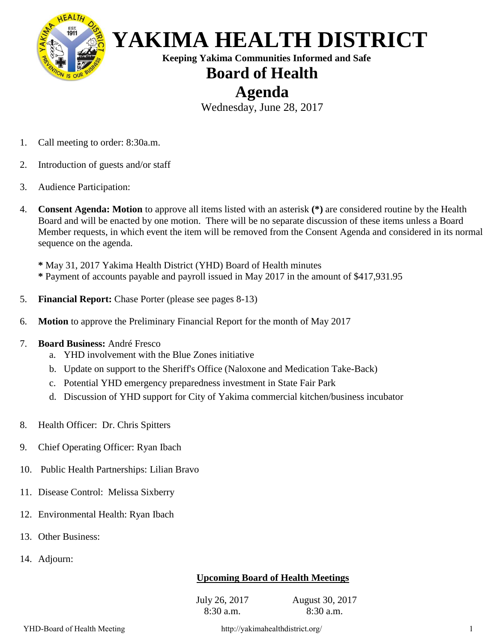

 **Keeping Yakima Communities Informed and Safe**

### **Board of Health**

### **Agenda**

Wednesday, June 28, 2017

- 1. Call meeting to order: 8:30a.m.
- 2. Introduction of guests and/or staff
- 3. Audience Participation:
- 4. **Consent Agenda: Motion** to approve all items listed with an asterisk **(\*)** are considered routine by the Health Board and will be enacted by one motion. There will be no separate discussion of these items unless a Board Member requests, in which event the item will be removed from the Consent Agenda and considered in its normal sequence on the agenda.

**\*** May 31, 2017 Yakima Health District (YHD) Board of Health minutes **\*** Payment of accounts payable and payroll issued in May 2017 in the amount of \$417,931.95

- 5. **Financial Report:** Chase Porter (please see pages 8-13)
- 6. **Motion** to approve the Preliminary Financial Report for the month of May 2017
- 7. **Board Business:** André Fresco
	- a. YHD involvement with the Blue Zones initiative
	- b. Update on support to the Sheriff's Office (Naloxone and Medication Take-Back)
	- c. Potential YHD emergency preparedness investment in State Fair Park
	- d. Discussion of YHD support for City of Yakima commercial kitchen/business incubator
- 8. Health Officer: Dr. Chris Spitters
- 9. Chief Operating Officer: Ryan Ibach
- 10. Public Health Partnerships: Lilian Bravo
- 11. Disease Control: Melissa Sixberry
- 12. Environmental Health: Ryan Ibach
- 13. Other Business:
- 14. Adjourn:

### **Upcoming Board of Health Meetings**

July 26, 2017 8:30 a.m.

August 30, 2017 8:30 a.m.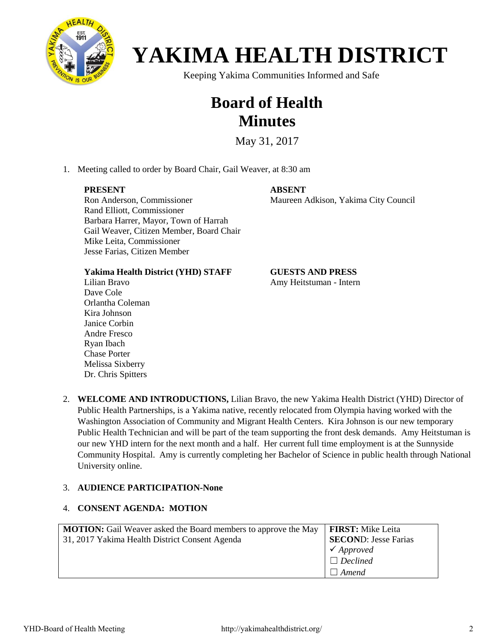

Keeping Yakima Communities Informed and Safe

### **Board of Health Minutes**

May 31, 2017

1. Meeting called to order by Board Chair, Gail Weaver, at 8:30 am

#### **PRESENT**

**ABSENT**

Maureen Adkison, Yakima City Council

Ron Anderson, Commissioner Rand Elliott, Commissioner Barbara Harrer, Mayor, Town of Harrah Gail Weaver, Citizen Member, Board Chair Mike Leita, Commissioner Jesse Farias, Citizen Member

**Yakima Health District (YHD) STAFF**

Lilian Bravo Dave Cole Orlantha Coleman Kira Johnson Janice Corbin Andre Fresco Ryan Ibach Chase Porter Melissa Sixberry Dr. Chris Spitters

**GUESTS AND PRESS** Amy Heitstuman - Intern

2. **WELCOME AND INTRODUCTIONS,** Lilian Bravo, the new Yakima Health District (YHD) Director of Public Health Partnerships, is a Yakima native, recently relocated from Olympia having worked with the Washington Association of Community and Migrant Health Centers. Kira Johnson is our new temporary Public Health Technician and will be part of the team supporting the front desk demands. Amy Heitstuman is our new YHD intern for the next month and a half. Her current full time employment is at the Sunnyside Community Hospital. Amy is currently completing her Bachelor of Science in public health through National University online.

#### 3. **AUDIENCE PARTICIPATION-None**

#### 4. **CONSENT AGENDA: MOTION**

| <b>MOTION:</b> Gail Weaver asked the Board members to approve the May | <b>FIRST:</b> Mike Leita    |
|-----------------------------------------------------------------------|-----------------------------|
| 31, 2017 Yakima Health District Consent Agenda                        | <b>SECOND: Jesse Farias</b> |
|                                                                       | $\checkmark$ Approved       |
|                                                                       | $\Box$ Declined             |
|                                                                       | $\Box$ Amend                |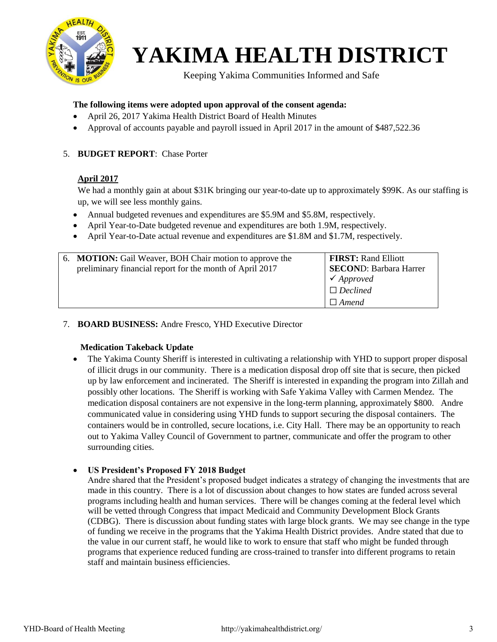

Keeping Yakima Communities Informed and Safe

#### **The following items were adopted upon approval of the consent agenda:**

- April 26, 2017 Yakima Health District Board of Health Minutes
- Approval of accounts payable and payroll issued in April 2017 in the amount of \$487,522.36

#### 5. **BUDGET REPORT**: Chase Porter

#### **April 2017**

We had a monthly gain at about \$31K bringing our year-to-date up to approximately \$99K. As our staffing is up, we will see less monthly gains.

- Annual budgeted revenues and expenditures are \$5.9M and \$5.8M, respectively.
- April Year-to-Date budgeted revenue and expenditures are both 1.9M, respectively.
- April Year-to-Date actual revenue and expenditures are \$1.8M and \$1.7M, respectively.

|  | 6. MOTION: Gail Weaver, BOH Chair motion to approve the<br>preliminary financial report for the month of April 2017 | <b>FIRST: Rand Elliott</b><br><b>SECOND: Barbara Harrer</b><br>$\checkmark$ Approved<br>$\Box$ Declined<br>$\Box$ Amend |
|--|---------------------------------------------------------------------------------------------------------------------|-------------------------------------------------------------------------------------------------------------------------|
|--|---------------------------------------------------------------------------------------------------------------------|-------------------------------------------------------------------------------------------------------------------------|

#### 7. **BOARD BUSINESS:** Andre Fresco, YHD Executive Director

#### **Medication Takeback Update**

• The Yakima County Sheriff is interested in cultivating a relationship with YHD to support proper disposal of illicit drugs in our community. There is a medication disposal drop off site that is secure, then picked up by law enforcement and incinerated. The Sheriff is interested in expanding the program into Zillah and possibly other locations. The Sheriff is working with Safe Yakima Valley with Carmen Mendez. The medication disposal containers are not expensive in the long-term planning, approximately \$800. Andre communicated value in considering using YHD funds to support securing the disposal containers. The containers would be in controlled, secure locations, i.e. City Hall. There may be an opportunity to reach out to Yakima Valley Council of Government to partner, communicate and offer the program to other surrounding cities.

#### • **US President's Proposed FY 2018 Budget**

Andre shared that the President's proposed budget indicates a strategy of changing the investments that are made in this country. There is a lot of discussion about changes to how states are funded across several programs including health and human services. There will be changes coming at the federal level which will be vetted through Congress that impact Medicaid and Community Development Block Grants (CDBG). There is discussion about funding states with large block grants. We may see change in the type of funding we receive in the programs that the Yakima Health District provides. Andre stated that due to the value in our current staff, he would like to work to ensure that staff who might be funded through programs that experience reduced funding are cross-trained to transfer into different programs to retain staff and maintain business efficiencies.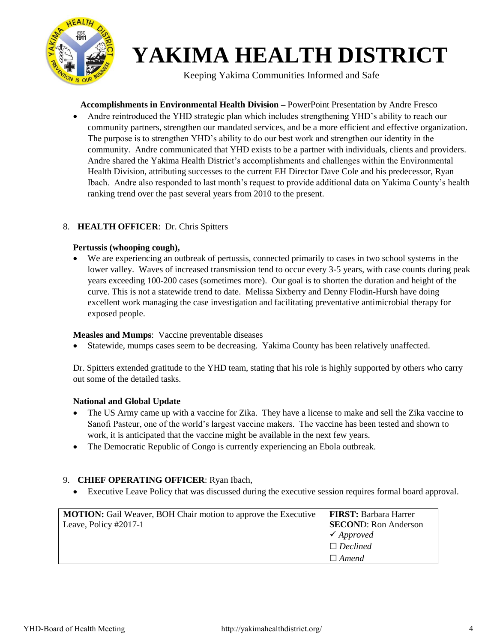

Keeping Yakima Communities Informed and Safe

**Accomplishments in Environmental Health Division –** PowerPoint Presentation by Andre Fresco

• Andre reintroduced the YHD strategic plan which includes strengthening YHD's ability to reach our community partners, strengthen our mandated services, and be a more efficient and effective organization. The purpose is to strengthen YHD's ability to do our best work and strengthen our identity in the community. Andre communicated that YHD exists to be a partner with individuals, clients and providers. Andre shared the Yakima Health District's accomplishments and challenges within the Environmental Health Division, attributing successes to the current EH Director Dave Cole and his predecessor, Ryan Ibach. Andre also responded to last month's request to provide additional data on Yakima County's health ranking trend over the past several years from 2010 to the present.

#### 8. **HEALTH OFFICER**: Dr. Chris Spitters

#### **Pertussis (whooping cough),**

• We are experiencing an outbreak of pertussis, connected primarily to cases in two school systems in the lower valley. Waves of increased transmission tend to occur every 3-5 years, with case counts during peak years exceeding 100-200 cases (sometimes more). Our goal is to shorten the duration and height of the curve. This is not a statewide trend to date. Melissa Sixberry and Denny Flodin-Hursh have doing excellent work managing the case investigation and facilitating preventative antimicrobial therapy for exposed people.

#### **Measles and Mumps**: Vaccine preventable diseases

Statewide, mumps cases seem to be decreasing. Yakima County has been relatively unaffected.

Dr. Spitters extended gratitude to the YHD team, stating that his role is highly supported by others who carry out some of the detailed tasks.

#### **National and Global Update**

- The US Army came up with a vaccine for Zika. They have a license to make and sell the Zika vaccine to Sanofi Pasteur, one of the world's largest vaccine makers. The vaccine has been tested and shown to work, it is anticipated that the vaccine might be available in the next few years.
- The Democratic Republic of Congo is currently experiencing an Ebola outbreak.

#### 9. **CHIEF OPERATING OFFICER**: Ryan Ibach,

• Executive Leave Policy that was discussed during the executive session requires formal board approval.

| <b>MOTION:</b> Gail Weaver, BOH Chair motion to approve the Executive | <b>FIRST: Barbara Harrer</b> |
|-----------------------------------------------------------------------|------------------------------|
| Leave, Policy $\#2017-1$                                              | <b>SECOND:</b> Ron Anderson  |
|                                                                       | $\checkmark$ Approved        |
|                                                                       | $\Box$ Declined              |
|                                                                       | $\Box$ Amend                 |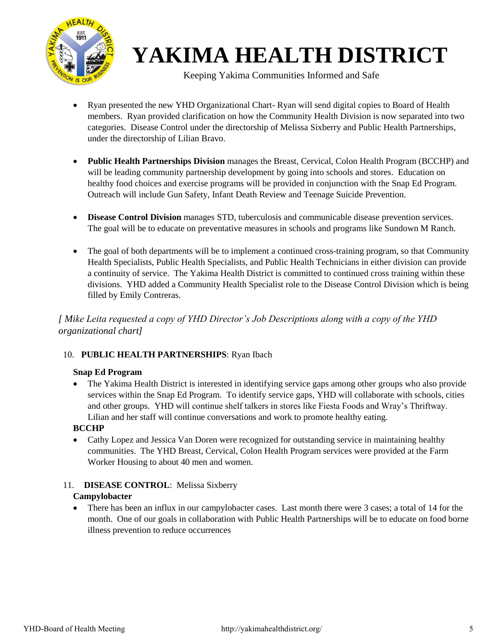

Keeping Yakima Communities Informed and Safe

- Ryan presented the new YHD Organizational Chart- Ryan will send digital copies to Board of Health members. Ryan provided clarification on how the Community Health Division is now separated into two categories. Disease Control under the directorship of Melissa Sixberry and Public Health Partnerships, under the directorship of Lilian Bravo.
- **Public Health Partnerships Division** manages the Breast, Cervical, Colon Health Program (BCCHP) and will be leading community partnership development by going into schools and stores. Education on healthy food choices and exercise programs will be provided in conjunction with the Snap Ed Program. Outreach will include Gun Safety, Infant Death Review and Teenage Suicide Prevention.
- **Disease Control Division** manages STD, tuberculosis and communicable disease prevention services. The goal will be to educate on preventative measures in schools and programs like Sundown M Ranch.
- The goal of both departments will be to implement a continued cross-training program, so that Community Health Specialists, Public Health Specialists, and Public Health Technicians in either division can provide a continuity of service. The Yakima Health District is committed to continued cross training within these divisions. YHD added a Community Health Specialist role to the Disease Control Division which is being filled by Emily Contreras.

*[ Mike Leita requested a copy of YHD Director's Job Descriptions along with a copy of the YHD organizational chart]*

### 10. **PUBLIC HEALTH PARTNERSHIPS**: Ryan Ibach

### **Snap Ed Program**

• The Yakima Health District is interested in identifying service gaps among other groups who also provide services within the Snap Ed Program. To identify service gaps, YHD will collaborate with schools, cities and other groups. YHD will continue shelf talkers in stores like Fiesta Foods and Wray's Thriftway. Lilian and her staff will continue conversations and work to promote healthy eating.

### **BCCHP**

• Cathy Lopez and Jessica Van Doren were recognized for outstanding service in maintaining healthy communities. The YHD Breast, Cervical, Colon Health Program services were provided at the Farm Worker Housing to about 40 men and women.

#### 11. **DISEASE CONTROL**: Melissa Sixberry **Campylobacter**

• There has been an influx in our campylobacter cases. Last month there were 3 cases; a total of 14 for the month. One of our goals in collaboration with Public Health Partnerships will be to educate on food borne illness prevention to reduce occurrences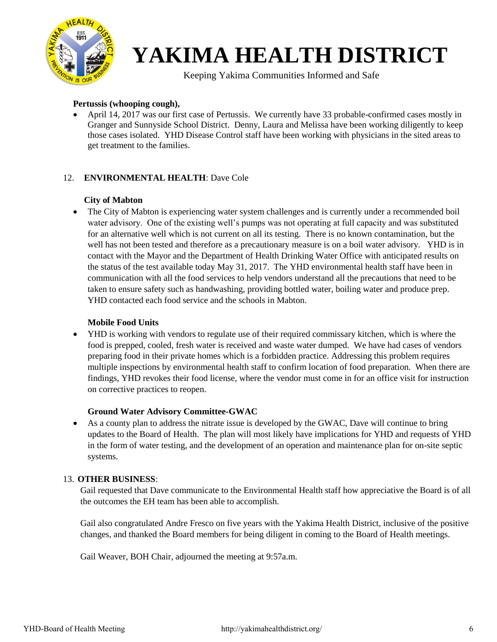

Keeping Yakima Communities Informed and Safe

#### **Pertussis (whooping cough),**

• April 14, 2017 was our first case of Pertussis. We currently have 33 probable-confirmed cases mostly in Granger and Sunnyside School District. Denny, Laura and Melissa have been working diligently to keep those cases isolated. YHD Disease Control staff have been working with physicians in the sited areas to get treatment to the families.

#### 12. **ENVIRONMENTAL HEALTH**: Dave Cole

#### **City of Mabton**

• The City of Mabton is experiencing water system challenges and is currently under a recommended boil water advisory. One of the existing well's pumps was not operating at full capacity and was substituted for an alternative well which is not current on all its testing. There is no known contamination, but the well has not been tested and therefore as a precautionary measure is on a boil water advisory. YHD is in contact with the Mayor and the Department of Health Drinking Water Office with anticipated results on the status of the test available today May 31, 2017. The YHD environmental health staff have been in communication with all the food services to help vendors understand all the precautions that need to be taken to ensure safety such as handwashing, providing bottled water, boiling water and produce prep. YHD contacted each food service and the schools in Mabton.

#### **Mobile Food Units**

• YHD is working with vendors to regulate use of their required commissary kitchen, which is where the food is prepped, cooled, fresh water is received and waste water dumped. We have had cases of vendors preparing food in their private homes which is a forbidden practice. Addressing this problem requires multiple inspections by environmental health staff to confirm location of food preparation. When there are findings, YHD revokes their food license, where the vendor must come in for an office visit for instruction on corrective practices to reopen.

#### **Ground Water Advisory Committee-GWAC**

• As a county plan to address the nitrate issue is developed by the GWAC, Dave will continue to bring updates to the Board of Health. The plan will most likely have implications for YHD and requests of YHD in the form of water testing, and the development of an operation and maintenance plan for on-site septic systems.

#### 13. **OTHER BUSINESS**:

Gail requested that Dave communicate to the Environmental Health staff how appreciative the Board is of all the outcomes the EH team has been able to accomplish.

Gail also congratulated Andre Fresco on five years with the Yakima Health District, inclusive of the positive changes, and thanked the Board members for being diligent in coming to the Board of Health meetings.

Gail Weaver, BOH Chair, adjourned the meeting at 9:57a.m.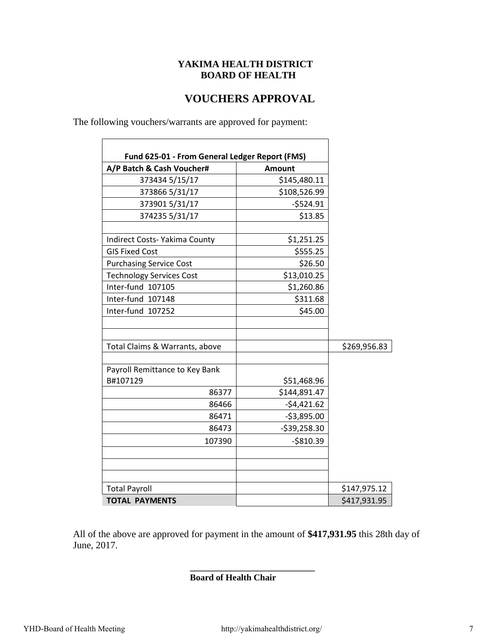### **YAKIMA HEALTH DISTRICT BOARD OF HEALTH**

### **VOUCHERS APPROVAL**

 $\overline{\phantom{a}}$ 

The following vouchers/warrants are approved for payment:

 $\Gamma$ 

| A/P Batch & Cash Voucher#       | <b>Amount</b> |              |
|---------------------------------|---------------|--------------|
| 373434 5/15/17                  | \$145,480.11  |              |
| 373866 5/31/17                  | \$108,526.99  |              |
| 373901 5/31/17                  | $-5524.91$    |              |
| 374235 5/31/17                  | \$13.85       |              |
| Indirect Costs- Yakima County   | \$1,251.25    |              |
| <b>GIS Fixed Cost</b>           | \$555.25      |              |
| <b>Purchasing Service Cost</b>  | \$26.50       |              |
| <b>Technology Services Cost</b> | \$13,010.25   |              |
| Inter-fund 107105               | \$1,260.86    |              |
| Inter-fund 107148               | \$311.68      |              |
| Inter-fund 107252               | \$45.00       |              |
| Total Claims & Warrants, above  |               | \$269,956.83 |
| Payroll Remittance to Key Bank  |               |              |
| B#107129                        | \$51,468.96   |              |
| 86377                           | \$144,891.47  |              |
| 86466                           | $-54,421.62$  |              |
| 86471                           | $-53,895.00$  |              |
| 86473                           | $-539,258.30$ |              |
| 107390                          | $-$810.39$    |              |
|                                 |               |              |
| <b>Total Payroll</b>            |               | \$147,975.12 |
| <b>TOTAL PAYMENTS</b>           |               | \$417,931.95 |

All of the above are approved for payment in the amount of **\$417,931.95** this 28th day of June, 2017.

**\_\_\_\_\_\_\_\_\_\_\_\_\_\_\_\_\_\_\_\_\_\_\_\_\_\_\_\_**

#### **Board of Health Chair**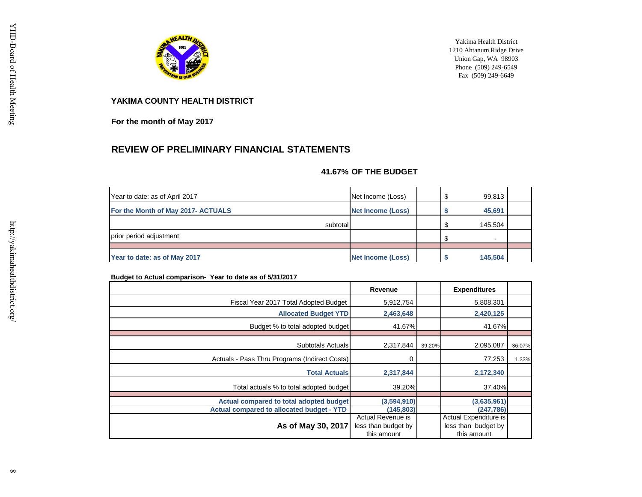

Yakima Health District 1210 Ahtanum Ridge Drive Union Gap, WA 98903 Phone (509) 249-6549 Fax (509) 249-6649

**YAKIMA COUNTY HEALTH DISTRICT**

**For the month of May 2017**

### **REVIEW OF PRELIMINARY FINANCIAL STATEMENTS**

#### **41.67% OF THE BUDGET**

| Year to date: as of April 2017     | Net Income (Loss)        |    | 99,813                   |  |
|------------------------------------|--------------------------|----|--------------------------|--|
| For the Month of May 2017- ACTUALS | <b>Net Income (Loss)</b> |    | 45,691                   |  |
| subtotal                           |                          | £. | 145,504                  |  |
| prior period adjustment            |                          |    | $\overline{\phantom{0}}$ |  |
|                                    |                          |    |                          |  |
| Year to date: as of May 2017       | <b>Net Income (Loss)</b> |    | 145,504                  |  |

#### **Budget to Actual comparison- Year to date as of 5/31/2017**

|                                                  | Revenue                                                 |        | <b>Expenditures</b>                                         |        |
|--------------------------------------------------|---------------------------------------------------------|--------|-------------------------------------------------------------|--------|
| Fiscal Year 2017 Total Adopted Budget            | 5,912,754                                               |        | 5,808,301                                                   |        |
| <b>Allocated Budget YTD</b>                      | 2,463,648                                               |        | 2,420,125                                                   |        |
| Budget % to total adopted budget                 | 41.67%                                                  |        | 41.67%                                                      |        |
| Subtotals Actuals                                | 2,317,844                                               | 39.20% | 2,095,087                                                   | 36.07% |
| Actuals - Pass Thru Programs (Indirect Costs)    | 0                                                       |        | 77,253                                                      | 1.33%  |
| <b>Total Actuals</b>                             | 2,317,844                                               |        | 2,172,340                                                   |        |
| Total actuals % to total adopted budget          | 39.20%                                                  |        | 37.40%                                                      |        |
| Actual compared to total adopted budget          | (3,594,910)                                             |        | (3,635,961)                                                 |        |
| <b>Actual compared to allocated budget - YTD</b> | (145, 803)                                              |        | (247, 786)                                                  |        |
| As of May 30, 2017                               | Actual Revenue is<br>less than budget by<br>this amount |        | Actual Expenditure is<br>less than budget by<br>this amount |        |

http://yakimahealthdistrict.org/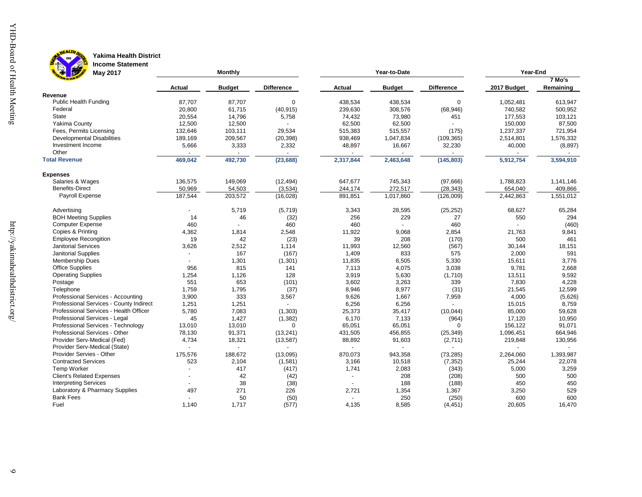

**B** 

#### HEALTH DA **Yakima Health District Income Statement**

| May 2017                                |                          | <b>Monthly</b> |                   |                | Year-to-Date  |                   | Year-End    |           |  |  |
|-----------------------------------------|--------------------------|----------------|-------------------|----------------|---------------|-------------------|-------------|-----------|--|--|
|                                         |                          |                |                   |                |               |                   |             | 7 Mo's    |  |  |
|                                         | Actual                   | <b>Budget</b>  | <b>Difference</b> | Actual         | <b>Budget</b> | <b>Difference</b> | 2017 Budget | Remaining |  |  |
| Revenue                                 |                          |                |                   |                |               |                   |             |           |  |  |
| <b>Public Health Funding</b>            | 87,707                   | 87,707         | $\mathbf 0$       | 438,534        | 438,534       | $\mathbf 0$       | 1,052,481   | 613,947   |  |  |
| Federal                                 | 20,800                   | 61,715         | (40, 915)         | 239,630        | 308,576       | (68, 946)         | 740,582     | 500,952   |  |  |
| State                                   | 20,554                   | 14,796         | 5,758             | 74,432         | 73,980        | 451               | 177,553     | 103,121   |  |  |
| Yakima County                           | 12,500                   | 12,500         |                   | 62,500         | 62,500        |                   | 150,000     | 87,500    |  |  |
| Fees, Permits Licensing                 | 132,646                  | 103,111        | 29,534            | 515,383        | 515,557       | (175)             | 1,237,337   | 721,954   |  |  |
| <b>Developmental Disabilities</b>       | 189,169                  | 209,567        | (20, 398)         | 938,469        | 1,047,834     | (109, 365)        | 2,514,801   | 1,576,332 |  |  |
| Investment Income                       | 5,666                    | 3,333          | 2,332             | 48,897         | 16,667        | 32,230            | 40,000      | (8, 897)  |  |  |
| Other                                   |                          |                |                   |                |               |                   |             |           |  |  |
| <b>Total Revenue</b>                    | 469,042                  | 492,730        | (23, 688)         | 2,317,844      | 2,463,648     | (145, 803)        | 5,912,754   | 3,594,910 |  |  |
| <b>Expenses</b>                         |                          |                |                   |                |               |                   |             |           |  |  |
| Salaries & Wages                        | 136,575                  | 149,069        | (12, 494)         | 647,677        | 745,343       | (97,666)          | 1,788,823   | 1,141,146 |  |  |
| <b>Benefits-Direct</b>                  | 50,969                   | 54,503         | (3,534)           | 244,174        | 272,517       | (28, 343)         | 654,040     | 409,866   |  |  |
| Payroll Expense                         | 187,544                  | 203,572        | (16, 028)         | 891,851        | 1,017,860     | (126,009)         | 2,442,863   | 1,551,012 |  |  |
| Advertising                             |                          | 5,719          | (5,719)           | 3,343          | 28,595        | (25, 252)         | 68,627      | 65,284    |  |  |
| <b>BOH Meeting Supplies</b>             | 14                       | 46             | (32)              | 256            | 229           | 27                | 550         | 294       |  |  |
| <b>Computer Expense</b>                 | 460                      |                | 460               | 460            |               | 460               |             | (460)     |  |  |
| Copies & Printing                       | 4,362                    | 1,814          | 2,548             | 11,922         | 9,068         | 2,854             | 21,763      | 9,841     |  |  |
| <b>Employee Recongition</b>             | 19                       | 42             | (23)              | 39             | 208           | (170)             | 500         | 461       |  |  |
| <b>Janitorial Services</b>              | 3,626                    | 2,512          | 1,114             | 11,993         | 12,560        | (567)             | 30,144      | 18,151    |  |  |
| <b>Janitorial Supplies</b>              | $\overline{\phantom{a}}$ | 167            | (167)             | 1,409          | 833           | 575               | 2,000       | 591       |  |  |
| Membership Dues                         |                          | 1,301          | (1, 301)          | 11,835         | 6,505         | 5,330             | 15,611      | 3,776     |  |  |
| <b>Office Supplies</b>                  | 956                      | 815            | 141               | 7,113          | 4,075         | 3,038             | 9,781       | 2,668     |  |  |
| <b>Operating Supplies</b>               | 1,254                    | 1,126          | 128               | 3,919          | 5,630         | (1,710)           | 13,511      | 9,592     |  |  |
| Postage                                 | 551                      | 653            | (101)             | 3,602          | 3,263         | 339               | 7,830       | 4,228     |  |  |
| Telephone                               | 1,759                    | 1,795          | (37)              | 8,946          | 8,977         | (31)              | 21,545      | 12,599    |  |  |
| Professional Services - Accounting      | 3,900                    | 333            | 3,567             | 9,626          | 1,667         | 7,959             | 4,000       | (5,626)   |  |  |
| Professional Services - County Indirect | 1,251                    | 1,251          |                   | 6,256          | 6,256         |                   | 15,015      | 8,759     |  |  |
| Professional Services - Health Officer  | 5,780                    | 7,083          | (1, 303)          | 25,373         | 35,417        | (10, 044)         | 85,000      | 59,628    |  |  |
| Professional Services - Legal           | 45                       | 1,427          | (1, 382)          | 6,170          | 7,133         | (964)             | 17,120      | 10,950    |  |  |
| Professional Services - Technology      | 13,010                   | 13,010         | $\Omega$          | 65,051         | 65,051        | $\Omega$          | 156,122     | 91,071    |  |  |
| Professional Services - Other           | 78,130                   | 91,371         | (13, 241)         | 431,505        | 456,855       | (25, 349)         | 1,096,451   | 664,946   |  |  |
| Provider Serv-Medical (Fed)             | 4,734                    | 18,321         | (13, 587)         | 88,892         | 91,603        | (2,711)           | 219,848     | 130,956   |  |  |
| Provider Serv-Medical (State)           |                          |                |                   |                |               |                   |             |           |  |  |
| Provider Servies - Other                | 175,576                  | 188,672        | (13,095)          | 870,073        | 943,358       | (73, 285)         | 2,264,060   | 1,393,987 |  |  |
| <b>Contracted Services</b>              | 523                      | 2,104          | (1,581)           | 3,166          | 10,518        | (7, 352)          | 25,244      | 22,078    |  |  |
| Temp Worker                             |                          | 417            | (417)             | 1,741          | 2,083         | (343)             | 5,000       | 3,259     |  |  |
| <b>Client's Related Expenses</b>        |                          | 42             | (42)              | $\blacksquare$ | 208           | (208)             | 500         | 500       |  |  |
| <b>Interpreting Services</b>            |                          | 38             | (38)              | $\sim$         | 188           | (188)             | 450         | 450       |  |  |
| Laboratory & Pharmacy Supplies          | 497                      | 271            | 226               | 2,721          | 1,354         | 1,367             | 3,250       | 529       |  |  |
| <b>Bank Fees</b>                        |                          | 50             | (50)              |                | 250           | (250)             | 600         | 600       |  |  |
| Fuel                                    | 1,140                    | 1,717          | (577)             | 4,135          | 8,585         | (4, 451)          | 20,605      | 16,470    |  |  |
|                                         |                          |                |                   |                |               |                   |             |           |  |  |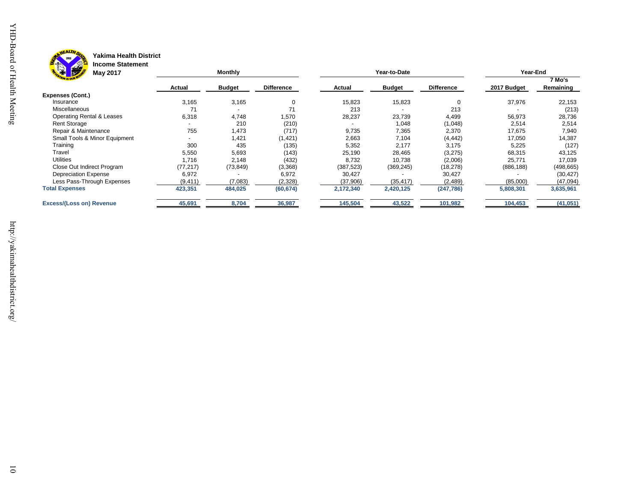



#### **Yakima Health District Income Statement**

| <b>Formation</b><br>$ s-1 $<br>May 2017 |           | Monthly                  |                   |            | Year-to-Date  |                   | Year-End    |                     |  |
|-----------------------------------------|-----------|--------------------------|-------------------|------------|---------------|-------------------|-------------|---------------------|--|
|                                         | Actual    | <b>Budget</b>            | <b>Difference</b> | Actual     | <b>Budget</b> | <b>Difference</b> | 2017 Budget | 7 Mo's<br>Remaining |  |
| <b>Expenses (Cont.)</b>                 |           |                          |                   |            |               |                   |             |                     |  |
| Insurance                               | 3,165     | 3,165                    | 0                 | 15,823     | 15,823        |                   | 37,976      | 22,153              |  |
| <b>Miscellaneous</b>                    | 71        | $\overline{\phantom{0}}$ | 71                | 213        |               | 213               |             | (213)               |  |
| <b>Operating Rental &amp; Leases</b>    | 6,318     | 4,748                    | 1,570             | 28,237     | 23,739        | 4,499             | 56,973      | 28,736              |  |
| <b>Rent Storage</b>                     |           | 210                      | (210)             |            | 1,048         | (1,048)           | 2,514       | 2,514               |  |
| Repair & Maintenance                    | 755       | 1,473                    | (717)             | 9,735      | 7,365         | 2,370             | 17,675      | 7,940               |  |
| Small Tools & Minor Equipment           |           | 1,421                    | (1,421)           | 2,663      | 7,104         | (4, 442)          | 17,050      | 14,387              |  |
| Training                                | 300       | 435                      | (135)             | 5,352      | 2,177         | 3,175             | 5,225       | (127)               |  |
| Travel                                  | 5,550     | 5,693                    | (143)             | 25,190     | 28,465        | (3,275)           | 68,315      | 43,125              |  |
| <b>Utilities</b>                        | 1,716     | 2,148                    | (432)             | 8,732      | 10,738        | (2,006)           | 25,771      | 17,039              |  |
| Close Out Indirect Program              | (77, 217) | (73, 849)                | (3,368)           | (387, 523) | (369, 245)    | (18, 278)         | (886, 188)  | (498, 665)          |  |
| <b>Depreciation Expense</b>             | 6,972     |                          | 6,972             | 30,427     |               | 30,427            |             | (30, 427)           |  |
| Less Pass-Through Expenses              | (9, 411)  | (7,083)                  | (2,328)           | (37,906)   | (35, 417)     | (2,489)           | (85,000)    | (47,094)            |  |
| <b>Total Expenses</b>                   | 423,351   | 484,025                  | (60, 674)         | 2,172,340  | 2,420,125     | (247, 786)        | 5,808,301   | 3,635,961           |  |
| <b>Excess/(Loss on) Revenue</b>         | 45,691    | 8,704                    | 36,987            | 145,504    | 43,522        | 101,982           | 104,453     | (41, 051)           |  |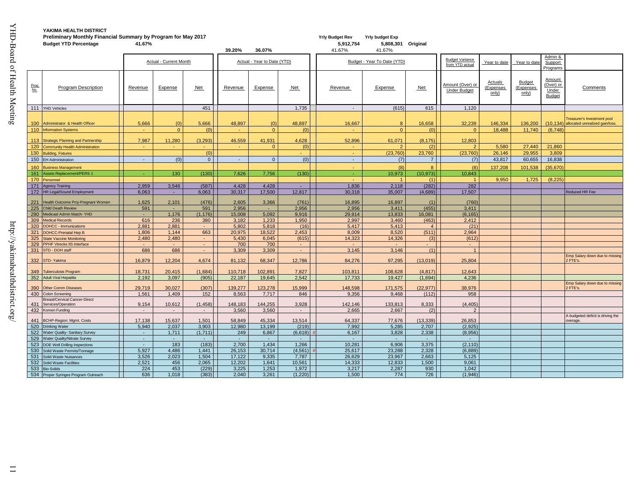| Preliminary Monthly Financial Summary by Program for May 2017 |                                                                              |              |                        |                  |                |                             | <b>Yrly Budget Rev</b> | <b>Yrly budget Exp</b>             |                             |                             |                                           |                                      |                                     |                                               |                                            |
|---------------------------------------------------------------|------------------------------------------------------------------------------|--------------|------------------------|------------------|----------------|-----------------------------|------------------------|------------------------------------|-----------------------------|-----------------------------|-------------------------------------------|--------------------------------------|-------------------------------------|-----------------------------------------------|--------------------------------------------|
|                                                               | <b>Budget YTD Percentage</b>                                                 | 41.67%       |                        |                  |                |                             |                        | 5,912,754                          | 5,808,301 Original          |                             |                                           |                                      |                                     |                                               |                                            |
|                                                               |                                                                              |              |                        |                  | 39.20%         | 36.07%                      |                        | 41.67%                             | 41.67%                      |                             |                                           |                                      |                                     |                                               |                                            |
|                                                               |                                                                              |              | Actual - Current Month |                  |                | Actual - Year to Date (YTD) |                        |                                    | Budget - Year To Date (YTD) |                             | <b>Budget Variance</b><br>from YTD actual | Year to date                         | Year to date                        | Admin &<br>Support<br>Programs                |                                            |
| Prog<br>No.                                                   | <b>Program Description</b>                                                   | Revenue      | Expense                | <b>Net</b>       | Revenue        | Expense                     | <b>Net</b>             | Revenue                            | Expense                     | <b>Net</b>                  | Amount (Over) or<br><b>Under Budget</b>   | <b>Actuals</b><br>(Expenses<br>only) | <b>Budget</b><br>(Expenses<br>only) | Amount<br>(Over) or<br>Under<br><b>Budget</b> | Comments                                   |
|                                                               | 111 YHD Vehicles                                                             |              |                        | 451              |                |                             | 1,735                  | $\sim$                             | (615)                       | 615                         | 1.120                                     |                                      |                                     |                                               |                                            |
|                                                               |                                                                              |              |                        |                  |                |                             |                        |                                    |                             |                             |                                           |                                      |                                     |                                               | reasurer's Investment pool                 |
| 100 <sub>1</sub>                                              | Administrator & Health Officer                                               | 5,666        | (0)                    | 5,666            | 48,897         | (0)                         | 48.897                 | 16,667                             |                             | 16.658                      | 32.239                                    | 146,334                              | 136,200                             | (10.134)                                      | allocated unrealized gain/loss.            |
| 110                                                           | <b>Information Systems</b>                                                   | n.           | $\Omega$               | (0)              |                | $\overline{0}$              | (0)                    | a.                                 | $\Omega$                    | (0)                         | $\Omega$                                  | 18.488                               | 11.740                              | (6,748)                                       |                                            |
|                                                               |                                                                              |              |                        |                  |                |                             |                        |                                    |                             |                             |                                           |                                      |                                     |                                               |                                            |
| 113<br>120                                                    | <b>Strategic Planning and Partnership</b><br>Community Health Administration | 7.987        | 11.280                 | (3.293)          | 46.559         | 41.931<br>$\Omega$          | 4.628<br>(0)           | 52.896<br>$\overline{\phantom{a}}$ | 61.071                      | (8.175)<br>(2)              | 12.803<br>$\mathcal{P}$                   | 5,580                                | 27,440                              | 21,860                                        |                                            |
| 130                                                           | <b>Building, Fixtures</b>                                                    |              |                        | (0)              |                |                             |                        |                                    | (23,760)                    | 23,760                      | (23, 760)                                 | 26,146                               | 29,955                              | 3,809                                         |                                            |
|                                                               | 150 EH Administration                                                        | $\sim$       | (0)                    | $\overline{0}$   | $\sim$         | $\Omega$                    | (0)                    | $\sim$                             | (7)                         | $\overline{7}$              | (7)                                       | 43.817                               | 60,655                              | 16,838                                        |                                            |
| 160                                                           | <b>Susiness Management</b>                                                   |              |                        |                  |                |                             |                        |                                    | (8)                         | $\mathsf{R}$                | (8)                                       | 137,208                              | 101,538                             | (35, 670)                                     |                                            |
| 161                                                           | ssets Replacement/PERS 1                                                     |              | 130                    | (130)            | 7,626          | 7,756                       | (130)                  | $\omega$                           | 10,973                      | (10, 973)                   | 10,843                                    |                                      |                                     |                                               |                                            |
| 170                                                           | Personnel                                                                    |              |                        |                  |                |                             |                        |                                    |                             | (1)                         | $\blacktriangleleft$                      | 9,950                                | 1.725                               | (8,225)                                       |                                            |
|                                                               | 171 Agency Training                                                          | 2,959        | 3,546                  | (587)            | 4,428          | 4,428                       | $\sim$                 | 1,836                              | 2,118                       | (282)                       | 282                                       |                                      |                                     |                                               |                                            |
| 172                                                           | HR Legal/Sound Employment                                                    | 6,063        | $\sim$                 | 6,063            | 30,317         | 17,500                      | 12,817                 | 30,318                             | 35,007                      | (4,689)                     | 17,507                                    |                                      |                                     |                                               | Reduced HR Fee                             |
|                                                               |                                                                              |              |                        |                  |                |                             |                        |                                    |                             |                             |                                           |                                      |                                     |                                               |                                            |
| 221<br>225                                                    | Health Outcome Proj-Pregnant Women<br><b>Child Death Review</b>              | 1,625<br>591 | 2,101                  | (476)<br>591     | 2,605<br>2,956 | 3,366                       | (761)<br>2,956         | 16,895<br>2,956                    | 16,897<br>3,411             | (1)<br>(455)                | (760)<br>3,411                            |                                      |                                     |                                               |                                            |
| 290                                                           | Medicaid Admin Match-YHD                                                     | $\sim$       | 1,176                  | (1, 176)         | 15,008         | 5,092                       | 9,916                  | 29,914                             | 13,833                      | 16,081                      | (6, 165)                                  |                                      |                                     |                                               |                                            |
| 309                                                           | <b>Medical Records</b>                                                       | 616          | 236                    | 380              | 3,182          | 1,233                       | 1,950                  | 2,997                              | 3,460                       | (463)                       | 2.412                                     |                                      |                                     |                                               |                                            |
| 320                                                           | DOHCC - Immunizations                                                        | 2,881        | 2,881                  |                  | 5,802          | 5,818                       | (16)                   | 5,417                              | 5,413                       | $\overline{4}$              | (21)                                      |                                      |                                     |                                               |                                            |
| 321                                                           | OOHCC-Prenatal Hep B                                                         | 1,806        | 1,144                  | 663              | 20,975         | 18,522                      | 2,453                  | 8,009                              | 8,520                       | (511)                       | 2,964                                     |                                      |                                     |                                               |                                            |
| 325                                                           | <b>State Vaccine Monitoring</b>                                              | 2,480        | 2,480                  | $\omega$         | 5,430          | 6,045                       | (615)                  | 14,323                             | 14,326                      | (3)                         | (612)                                     |                                      |                                     |                                               |                                            |
| 329                                                           | PPHF Vtrecks IIS Interface                                                   | $\sim$       | $\sim$                 | $\sim$           | 700            | 700                         | $\sim$                 | $\sim$                             | $\sim$                      | $\mathcal{L}^{\mathcal{L}}$ | $\sim$                                    |                                      |                                     |                                               |                                            |
| 331                                                           | STD - DOH staff                                                              | 686          | 686                    | $\sim$           | 3,309          | 3,309                       | $\sim$                 | 3,145                              | 3,146                       | (1)                         |                                           |                                      |                                     |                                               |                                            |
| 332                                                           | STD-Yakima                                                                   | 16.879       | 12.204                 | 4,674            | 81.132         | 68.347                      | 12,786                 | 84.276                             | 97.295                      | (13,019)                    | 25,804                                    |                                      |                                     |                                               | Emp Salary down due to missing<br>2 FTE's. |
|                                                               |                                                                              |              |                        |                  |                |                             |                        |                                    |                             |                             |                                           |                                      |                                     |                                               |                                            |
| 349                                                           | <b>Tuberculosis Program</b>                                                  | 18,731       | 20,415                 | (1,684)          | 110,718        | 102,891                     | 7,827                  | 103,811                            | 108,628                     | (4, 817)                    | 12,643                                    |                                      |                                     |                                               |                                            |
|                                                               | 352 Adult Viral Hepatitis                                                    | 2,192        | 3,097                  | (905)            | 22,187         | 19,645                      | 2,542                  | 17,733                             | 19,427                      | (1,694)                     | 4,236                                     |                                      |                                     |                                               | Emp Salary down due to missing             |
| 390                                                           | <b>Other Comm Diseases</b>                                                   | 29,719       | 30,027                 | (307)            | 139,277        | 123,278                     | 15,999                 | 148,598                            | 171,575                     | (22, 977)                   | 38,976                                    |                                      |                                     |                                               | ? FTE's.                                   |
| 430                                                           | Colon Screening                                                              | 1,561        | 1,409                  | 152              | 8,563          | 7,717                       | 846                    | 9,356                              | 9,468                       | (112)                       | 958                                       |                                      |                                     |                                               |                                            |
| 431                                                           | <b>Breast/Cervical Cancer-Direct</b><br>Services/Operation                   | 9,154        | 10,612                 | (1, 458)         | 148,183        | 144,255                     | 3,928                  | 142,146                            | 133,813                     | 8,333                       | (4, 405)                                  |                                      |                                     |                                               |                                            |
| 432                                                           | Komen Funding                                                                | $\sim$       | $\sim$                 | $\sim$           | 3,560          | 3,560                       | $\sim$                 | 2,665                              | 2,667                       | (2)                         | $\mathfrak{p}$                            |                                      |                                     |                                               |                                            |
|                                                               |                                                                              |              |                        |                  |                |                             |                        |                                    |                             |                             |                                           |                                      |                                     |                                               | A budgeted deficit is driving the          |
| 441                                                           | <b>BCHP-Region: Mgmt. Costs</b>                                              | 17,138       | 15,637                 | 1,501            | 58,849         | 45,334                      | 13,514                 | 64,337                             | 77,676                      | (13, 339)                   | 26,853                                    |                                      |                                     |                                               | overage.                                   |
| 520<br>522                                                    | <b>Drinking Water</b><br><b>Water Quality- Sanitary Survey</b>               | 5.940        | 2.037<br>1,711         | 3.903<br>(1,711) | 12.980<br>249  | 13.199<br>6,867             | (219)<br>(6,618)       | 7.992<br>6,167                     | 5.285<br>3,828              | 2.707<br>2,338              | (2.925)<br>(8,956)                        |                                      |                                     |                                               |                                            |
| 529                                                           | <b>Water Quality/Nitrate Survey</b>                                          | $\sim$       | $\sim$                 | $\sim$           | $\sim$         | $\sim$                      | $\sim$                 | $\sim$                             | $\sim$                      | $\sim$                      | $\sim$                                    |                                      |                                     |                                               |                                            |
| 523                                                           | <b>OCE Well Drilling Inspections</b>                                         | $\sim$       | 183                    | (183)            | 2,700          | 1,434                       | 1,266                  | 10,281                             | 6,906                       | 3,375                       | (2, 110)                                  |                                      |                                     |                                               |                                            |
| 530                                                           | Solid Waste Permits/Tonnage                                                  | 5,927        | 4,486                  | 1,441            | 26,153         | 30,714                      | (4, 561)               | 25,617                             | 23,288                      | 2,328                       | (6,889)                                   |                                      |                                     |                                               |                                            |
| 531                                                           | Solid Waste Nuisances                                                        | 3,526        | 2,023                  | 1,504            | 17.122         | 9,335                       | 7,787                  | 26,629                             | 23,967                      | 2,663                       | 5,125                                     |                                      |                                     |                                               |                                            |
| 532                                                           | Solid Waste Facilities                                                       | 2,521        | 456                    | 2,065            | 12,202         | 1,641                       | 10,561                 | 14,333                             | 12,833                      | 1,500                       | 9,061                                     |                                      |                                     |                                               |                                            |
| 533                                                           | <b>Bio-Solids</b>                                                            | 224          | 453                    | (229)            | 3,225          | 1,253                       | 1,972                  | 3.217                              | 2,287                       | 930                         | 1.042                                     |                                      |                                     |                                               |                                            |
|                                                               | 534 Proper Syringes Program Outreach                                         | 636          | 1.018                  | (383)            | 2.040          | 3.261                       | (1.220)                | 1.500                              | 774                         | 726                         | (1.946)                                   |                                      |                                     |                                               |                                            |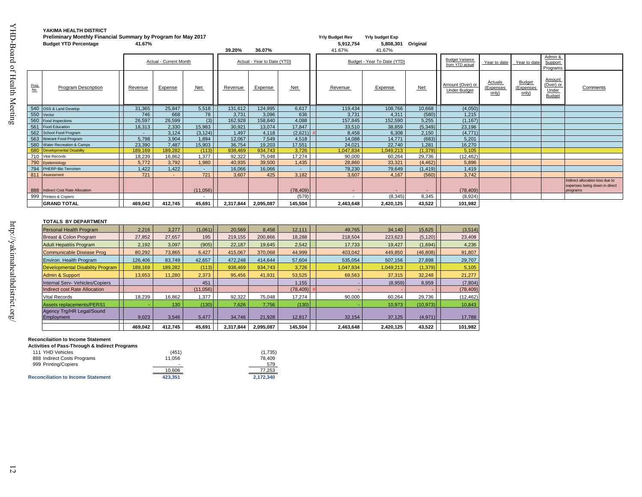|             | Preliminary Monthly Financial Summary by Program for May 2017 |         |                        |                          |           |                             |           | <b>Yrly Budget Rev</b>   | <b>Yrly budget Exp</b>      |                          |                                         |                               |                                     |                                               |                                                                              |
|-------------|---------------------------------------------------------------|---------|------------------------|--------------------------|-----------|-----------------------------|-----------|--------------------------|-----------------------------|--------------------------|-----------------------------------------|-------------------------------|-------------------------------------|-----------------------------------------------|------------------------------------------------------------------------------|
|             | <b>Budget YTD Percentage</b>                                  | 41.67%  |                        |                          |           |                             |           | 5,912,754                | 5,808,301                   | Original                 |                                         |                               |                                     |                                               |                                                                              |
|             |                                                               |         |                        |                          | 39.20%    | 36.07%                      |           | 41.67%                   | 41.67%                      |                          |                                         |                               |                                     |                                               |                                                                              |
|             |                                                               |         | Actual - Current Month |                          |           | Actual - Year to Date (YTD) |           |                          | Budget - Year To Date (YTD) |                          | <b>Budget Variance</b>                  |                               |                                     | Admin &                                       |                                                                              |
|             |                                                               |         |                        |                          |           |                             |           |                          |                             |                          | from YTD actual                         | Year to date                  | Year to date                        | Support<br>Programs                           |                                                                              |
| Prog<br>No. | <b>Program Description</b>                                    | Revenue | Expense                | <b>Net</b>               | Revenue   | Expense                     | Net       | Revenue                  | Expense                     | Net                      | Amount (Over) or<br><b>Under Budget</b> | Actuals<br>(Expenses<br>only) | <b>Budget</b><br>(Expenses<br>only) | Amount<br>(Over) or<br>Under<br><b>Budget</b> | Comments                                                                     |
|             | 540 OSS & Land Develop                                        | 31,365  | 25,847                 | 5,518                    | 131,612   | 124,995                     | 6,617     | 119,434                  | 108,766                     | 10,668                   | (4,050)                                 |                               |                                     |                                               |                                                                              |
|             | 550 Vector                                                    | 746     | 668                    | 78                       | 3.731     | 3.096                       | 636       | 3,731                    | 4.311                       | (580)                    | 1,215                                   |                               |                                     |                                               |                                                                              |
|             | 560 Food Inspections                                          | 26,597  | 26,599                 | (3)                      | 162,928   | 158,840                     | 4,088     | 157,845                  | 152,590                     | 5,255                    | (1, 167)                                |                               |                                     |                                               |                                                                              |
|             | 561 Food Education                                            | 18,313  | 2,330                  | 15,983                   | 30,921    | 13,074                      | 17,847    | 33,510                   | 38,859                      | (5,349)                  | 23,196                                  |                               |                                     |                                               |                                                                              |
|             | 562 School Food Program                                       |         | 3,124                  | (3, 124)                 | 1,497     | 4,118                       | (2,621)   | 8,458                    | 6,308                       | 2,150                    | (4,771)                                 |                               |                                     |                                               |                                                                              |
|             | 563 Itinerant Food Program                                    | 5,798   | 3,904                  | 1,894                    | 12,067    | 7,549                       | 4,518     | 14,088                   | 14,771                      | (683)                    | 5,201                                   |                               |                                     |                                               |                                                                              |
|             | 580 Water Recreation & Camps                                  | 23,390  | 7,487                  | 15,903                   | 36,754    | 19,203                      | 17,551    | 24,021                   | 22,740                      | 1,281                    | 16,270                                  |                               |                                     |                                               |                                                                              |
|             | 680 Developmental Disability                                  | 189,169 | 189,282                | (113)                    | 938,469   | 934,743                     | 3,726     | 0.047,834                | .049.213                    | (1, 379)                 | 5,105                                   |                               |                                     |                                               |                                                                              |
|             | 710 Vital Records                                             | 18,239  | 16,862                 | ,377                     | 92,322    | 75,048                      | 17,274    | 90,000                   | 60,264                      | 29,736                   | (12, 462)                               |                               |                                     |                                               |                                                                              |
|             | 790 Epidemiology                                              | 5.772   | 3,792                  | 1.980                    | 40,935    | 39,500                      | 1,435     | 28,860                   | 33.321                      | (4, 462)                 | 5,896                                   |                               |                                     |                                               |                                                                              |
|             | 794 PHERP-Bio Terrorism                                       | 1,422   | 1,422                  | $\sim$                   | 16,066    | 16,066                      | $\sim$    | 78,230                   | 79,649                      | (1, 419)                 | 1,419                                   |                               |                                     |                                               |                                                                              |
|             | 811 Assessment                                                | 721     |                        | 721                      | 3.607     | 425                         | 3,182     | 3,607                    | 4.167                       | (560)                    | 3,742                                   |                               |                                     |                                               |                                                                              |
|             | 888 Indirect Cost Rate Allocation                             |         |                        | (11,056)                 |           |                             | (78, 409) | $\overline{\phantom{a}}$ |                             | $\overline{\phantom{a}}$ | (78, 409)                               |                               |                                     |                                               | Indirect allocation loss due to<br>expenses being down in direct<br>programs |
|             | 999 Printers & Copiers                                        |         |                        | $\overline{\phantom{a}}$ |           |                             | (579)     | $\overline{\phantom{a}}$ | (8, 345)                    | 8,345                    | (8,924)                                 |                               |                                     |                                               |                                                                              |
|             | <b>GRAND TOTAL</b>                                            | 469,042 | 412,745                | 45,691                   | 2,317,844 | 2,095,087                   | 145,504   | 2,463,648                | 2,420,125                   | 43,522                   | 101,982                                 |                               |                                     |                                               |                                                                              |

#### **TOTALS BY DEPARTMENT**

| Personal Health Program          | 2.216   | 3.277   | (1,061)  | 20.569    | 8.458     | 12.111    | 49.765    | 34,140    | 15.625    | (3,514)   |
|----------------------------------|---------|---------|----------|-----------|-----------|-----------|-----------|-----------|-----------|-----------|
| Breast & Colon Program           | 27,852  | 27,657  | 195      | 219.155   | 200,866   | 18,288    | 218,504   | 223.623   | (5, 120)  | 23,408    |
| <b>Adult Hepatitis Program</b>   | 2.192   | 3,097   | (905)    | 22.187    | 19,645    | 2,542     | 17,733    | 19,427    | (1,694)   | 4,236     |
| Communicable Disease Prog        | 80,292  | 73,865  | 6.427    | 415.067   | 370.068   | 44,999    | 403.042   | 449.850   | (46,808)  | 91,807    |
| Environ. Health Program          | 126,406 | 83,749  | 42,657   | 472.248   | 414.644   | 57,604    | 535,054   | 507,156   | 27,898    | 29,707    |
| Developmental Disability Program | 189,169 | 189,282 | (113)    | 938,469   | 934,743   | 3,726     | 1,047,834 | 1,049,213 | (1, 379)  | 5,105     |
| Admin & Support                  | 13.653  | 11,280  | 2.373    | 95.456    | 41,931    | 53,525    | 69,563    | 37.315    | 32,248    | 21,277    |
| Internal Serv- Vehicles/Copiers  |         |         | 451      |           |           | 1,155     |           | (8,959)   | 8,959     | (7,804)   |
| Indirect cost Rate Allocation    |         |         | (11,056) |           |           | (78, 409) |           |           | -         | (78, 409) |
| Vital Records                    | 18.239  | 16.862  | .377     | 92.322    | 75.048    | 17,274    | 90,000    | 60.264    | 29,736    | (12, 462) |
| <b>Assets replacements/PERS1</b> |         | 130     | (130)    | 7.626     | 7,756     | (130)     |           | 10,973    | (10, 973) | 10,843    |
| Agency Trg/HR Legal/Sound        |         |         |          |           |           |           |           |           |           |           |
| Employment                       | 9,023   | 3,546   | 5,477    | 34,746    | 21.928    | 12,817    | 32,154    | 37,125    | (4,971)   | 17,788    |
|                                  | 469.042 | 412.745 | 45.691   | 2.317.844 | 2.095.087 | 145.504   | 2,463,648 | 2.420.125 | 43,522    | 101,982   |

#### **Reconcilaition to Income Statement**

**Activities of Pass-Through & Indirect Programs**

| 111 YHD Vehicles                          | (451)                    | (1.735)   |
|-------------------------------------------|--------------------------|-----------|
| 888 Indirect Costs Programs               | 11.056                   | 78.409    |
| 999 Printing/Copiers                      | $\overline{\phantom{0}}$ | 579       |
|                                           | 10,606                   | 77,253    |
| <b>Reconciliation to Income Statement</b> | 423.351                  | 2.172.340 |

http://yakimahealthdistrict.org/